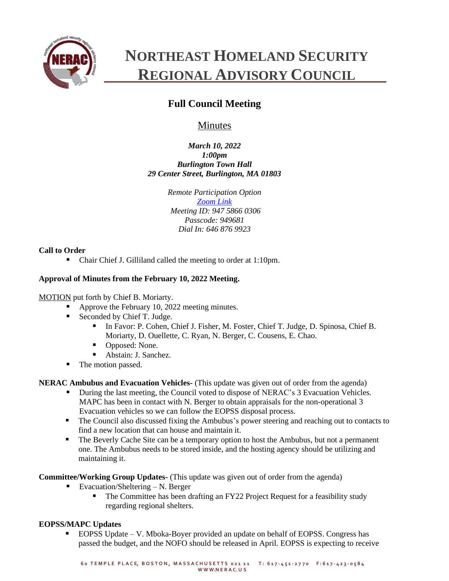

# **NORTHEAST HOMELAND SECURITY REGIONAL ADVISORY COUNCIL**

# **Full Council Meeting**

# **Minutes**

*March 10, 2022 1:00pm Burlington Town Hall 29 Center Street, Burlington, MA 01803*

> *Remote Participation Option [Zoom Link](https://zoom.us/j/94758660306?pwd=SzNhc1dNd0ZYNGg4c0pmalJ1bXVMdz09) Meeting ID: 947 5866 0306 Passcode: 949681 Dial In: 646 876 9923*

# **Call to Order**

■ Chair Chief J. Gilliland called the meeting to order at 1:10pm.

# **Approval of Minutes from the February 10, 2022 Meeting.**

MOTION put forth by Chief B. Moriarty.

- Approve the February 10, 2022 meeting minutes.
- Seconded by Chief T. Judge.
	- In Favor: P. Cohen, Chief J. Fisher, M. Foster, Chief T. Judge, D. Spinosa, Chief B. Moriarty, D. Ouellette, C. Ryan, N. Berger, C. Cousens, E. Chao.
	- Opposed: None.
	- Abstain: J. Sanchez.
- The motion passed.

**NERAC Ambubus and Evacuation Vehicles-** (This update was given out of order from the agenda)

- During the last meeting, the Council voted to dispose of NERAC's 3 Evacuation Vehicles. MAPC has been in contact with N. Berger to obtain appraisals for the non-operational 3 Evacuation vehicles so we can follow the EOPSS disposal process.
- The Council also discussed fixing the Ambubus's power steering and reaching out to contacts to find a new location that can house and maintain it.
- The Beverly Cache Site can be a temporary option to host the Ambubus, but not a permanent one. The Ambubus needs to be stored inside, and the hosting agency should be utilizing and maintaining it.

**Committee/Working Group Updates-** (This update was given out of order from the agenda)

- $\blacksquare$  Evacuation/Sheltering N. Berger
	- The Committee has been drafting an FY22 Project Request for a feasibility study regarding regional shelters.

# **EOPSS/MAPC Updates**

■ EOPSS Update – V. Mboka-Boyer provided an update on behalf of EOPSS. Congress has passed the budget, and the NOFO should be released in April. EOPSS is expecting to receive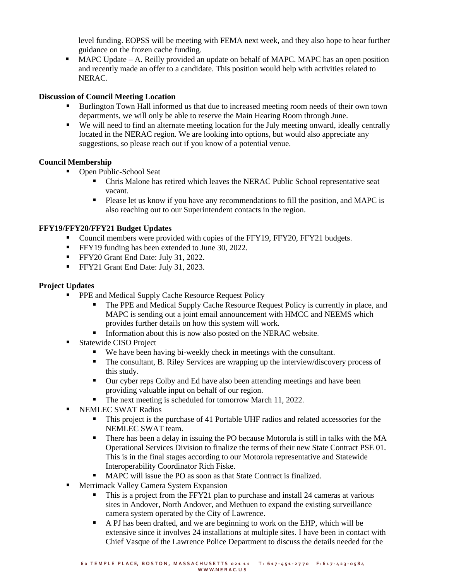level funding. EOPSS will be meeting with FEMA next week, and they also hope to hear further guidance on the frozen cache funding.

■ MAPC Update – A. Reilly provided an update on behalf of MAPC. MAPC has an open position and recently made an offer to a candidate. This position would help with activities related to NERAC.

#### **Discussion of Council Meeting Location**

- Burlington Town Hall informed us that due to increased meeting room needs of their own town departments, we will only be able to reserve the Main Hearing Room through June.
- We will need to find an alternate meeting location for the July meeting onward, ideally centrally located in the NERAC region. We are looking into options, but would also appreciate any suggestions, so please reach out if you know of a potential venue.

#### **Council Membership**

- Open Public-School Seat
	- Chris Malone has retired which leaves the NERAC Public School representative seat vacant.
	- **•** Please let us know if you have any recommendations to fill the position, and MAPC is also reaching out to our Superintendent contacts in the region.

#### **FFY19/FFY20/FFY21 Budget Updates**

- Council members were provided with copies of the FFY19, FFY20, FFY21 budgets.
- **•** FFY19 funding has been extended to June 30, 2022.
- **•** FFY20 Grant End Date: July 31, 2022.
- **•** FFY21 Grant End Date: July 31, 2023.

#### **Project Updates**

- **PPE and Medical Supply Cache Resource Request Policy** 
	- **The PPE and Medical Supply Cache Resource Request Policy is currently in place, and** MAPC is sending out a joint email announcement with HMCC and NEEMS which provides further details on how this system will work.
	- **Information about this is now also posted on the NERAC website.**
- **Statewide CISO Project** 
	- We have been having bi-weekly check in meetings with the consultant.
	- The consultant, B. Riley Services are wrapping up the interview/discovery process of this study.
	- Our cyber reps Colby and Ed have also been attending meetings and have been providing valuable input on behalf of our region.
	- The next meeting is scheduled for tomorrow March 11, 2022.
- **NEMLEC SWAT Radios** 
	- This project is the purchase of 41 Portable UHF radios and related accessories for the NEMLEC SWAT team.
	- **•** There has been a delay in issuing the PO because Motorola is still in talks with the MA Operational Services Division to finalize the terms of their new State Contract PSE 01. This is in the final stages according to our Motorola representative and Statewide Interoperability Coordinator Rich Fiske.
	- MAPC will issue the PO as soon as that State Contract is finalized.
- Merrimack Valley Camera System Expansion
	- This is a project from the FFY21 plan to purchase and install 24 cameras at various sites in Andover, North Andover, and Methuen to expand the existing surveillance camera system operated by the City of Lawrence.
	- A PJ has been drafted, and we are beginning to work on the EHP, which will be extensive since it involves 24 installations at multiple sites. I have been in contact with Chief Vasque of the Lawrence Police Department to discuss the details needed for the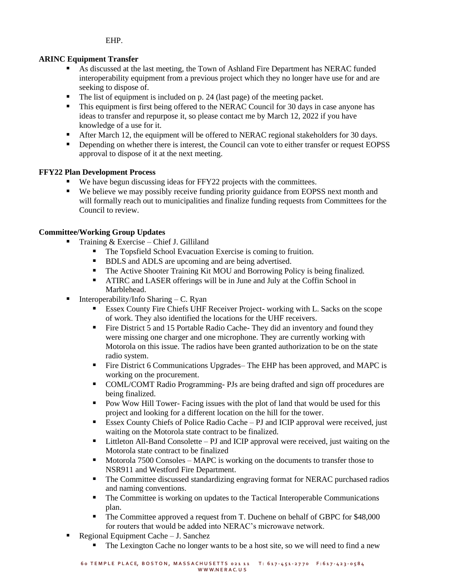EHP.

# **ARINC Equipment Transfer**

- As discussed at the last meeting, the Town of Ashland Fire Department has NERAC funded interoperability equipment from a previous project which they no longer have use for and are seeking to dispose of.
- The list of equipment is included on p. 24 (last page) of the meeting packet.
- This equipment is first being offered to the NERAC Council for 30 days in case anyone has ideas to transfer and repurpose it, so please contact me by March 12, 2022 if you have knowledge of a use for it.
- **EXECUTE:** After March 12, the equipment will be offered to NERAC regional stakeholders for 30 days.
- **•** Depending on whether there is interest, the Council can vote to either transfer or request EOPSS approval to dispose of it at the next meeting.

### **FFY22 Plan Development Process**

- We have begun discussing ideas for FFY22 projects with the committees.
- We believe we may possibly receive funding priority guidance from EOPSS next month and will formally reach out to municipalities and finalize funding requests from Committees for the Council to review.

#### **Committee/Working Group Updates**

- **Training & Exercise** Chief J. Gilliland
	- The Topsfield School Evacuation Exercise is coming to fruition.
	- BDLS and ADLS are upcoming and are being advertised.
	- The Active Shooter Training Kit MOU and Borrowing Policy is being finalized.
	- **EXECUTE:** ATIRC and LASER offerings will be in June and July at the Coffin School in Marblehead.
- Interoperability/Info Sharing  $C$ . Ryan
	- Essex County Fire Chiefs UHF Receiver Project- working with L. Sacks on the scope of work. They also identified the locations for the UHF receivers.
	- **•** Fire District 5 and 15 Portable Radio Cache-They did an inventory and found they were missing one charger and one microphone. They are currently working with Motorola on this issue. The radios have been granted authorization to be on the state radio system.
	- Fire District 6 Communications Upgrades– The EHP has been approved, and MAPC is working on the procurement.
	- **COML/COMT Radio Programming- PJs are being drafted and sign off procedures are** being finalized.
	- Pow Wow Hill Tower- Facing issues with the plot of land that would be used for this project and looking for a different location on the hill for the tower.
	- Essex County Chiefs of Police Radio Cache PJ and ICIP approval were received, just waiting on the Motorola state contract to be finalized.
	- Littleton All-Band Consolette PJ and ICIP approval were received, just waiting on the Motorola state contract to be finalized
	- Motorola 7500 Consoles MAPC is working on the documents to transfer those to NSR911 and Westford Fire Department.
	- The Committee discussed standardizing engraving format for NERAC purchased radios and naming conventions.
	- The Committee is working on updates to the Tactical Interoperable Communications plan.
	- The Committee approved a request from T. Duchene on behalf of GBPC for \$48,000 for routers that would be added into NERAC's microwave network.
- Regional Equipment Cache J. Sanchez
	- The Lexington Cache no longer wants to be a host site, so we will need to find a new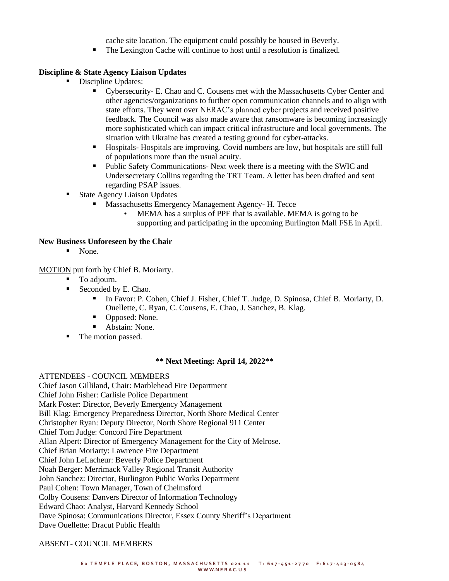cache site location. The equipment could possibly be housed in Beverly.

■ The Lexington Cache will continue to host until a resolution is finalized.

#### **Discipline & State Agency Liaison Updates**

- Discipline Updates:
	- Cybersecurity- E. Chao and C. Cousens met with the Massachusetts Cyber Center and other agencies/organizations to further open communication channels and to align with state efforts. They went over NERAC's planned cyber projects and received positive feedback. The Council was also made aware that ransomware is becoming increasingly more sophisticated which can impact critical infrastructure and local governments. The situation with Ukraine has created a testing ground for cyber-attacks.
	- Hospitals- Hospitals are improving. Covid numbers are low, but hospitals are still full of populations more than the usual acuity.
	- Public Safety Communications- Next week there is a meeting with the SWIC and Undersecretary Collins regarding the TRT Team. A letter has been drafted and sent regarding PSAP issues.
- **State Agency Liaison Updates** 
	- Massachusetts Emergency Management Agency- H. Tecce
		- MEMA has a surplus of PPE that is available. MEMA is going to be supporting and participating in the upcoming Burlington Mall FSE in April.

#### **New Business Unforeseen by the Chair**

■ None.

MOTION put forth by Chief B. Moriarty.

- To adjourn.
- Seconded by E. Chao.
	- In Favor: P. Cohen, Chief J. Fisher, Chief T. Judge, D. Spinosa, Chief B. Moriarty, D. Ouellette, C. Ryan, C. Cousens, E. Chao, J. Sanchez, B. Klag.
	- Opposed: None.
	- Abstain: None.
- The motion passed.

#### **\*\* Next Meeting: April 14, 2022\*\***

ATTENDEES - COUNCIL MEMBERS

Chief Jason Gilliland, Chair: Marblehead Fire Department Chief John Fisher: Carlisle Police Department Mark Foster: Director, Beverly Emergency Management Bill Klag: Emergency Preparedness Director, North Shore Medical Center Christopher Ryan: Deputy Director, North Shore Regional 911 Center Chief Tom Judge: Concord Fire Department Allan Alpert: Director of Emergency Management for the City of Melrose. Chief Brian Moriarty: Lawrence Fire Department Chief John LeLacheur: Beverly Police Department Noah Berger: Merrimack Valley Regional Transit Authority John Sanchez: Director, Burlington Public Works Department Paul Cohen: Town Manager, Town of Chelmsford Colby Cousens: Danvers Director of Information Technology Edward Chao: Analyst, Harvard Kennedy School Dave Spinosa: Communications Director, Essex County Sheriff's Department Dave Ouellette: Dracut Public Health

ABSENT- COUNCIL MEMBERS